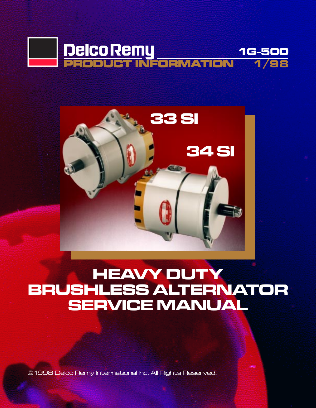



# **HEAVY DUTY** BRUSHLESS ALTERNATOR SERVICE MANUAL

©1998 Delco Remy International Inc. All Rights Reserved.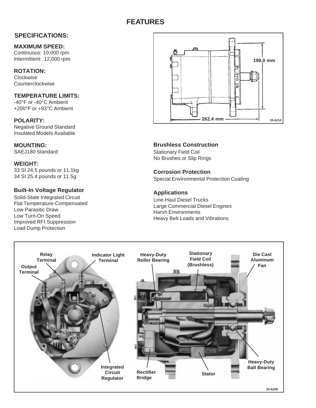### **PAGE 33/34 SI ALTERNATOR SI ALTERNATOR SI ALTERNATOR SI ALTERNATOR SI ALTERNATOR SI ALTERNATOR SI ALTERNATOR S FEATURES**

## **SPECIFICATIONS:**

**MAXIMUM SPEED:**

Continuous: 10,000 rpm Intermittent: 12,000 rpm

**ROTATION:**

**Clockwise** Counterclockwise

**TEMPERATURE LIMITS:** -40°F or -40°C Ambient +200°F or +93°C Ambient

**POLARITY:** Negative Ground Standard Insulated Models Available

**MOUNTING:** SAEJ180 Standard

**WEIGHT:** 33 SI 24.5 pounds or 11.1kg 34 SI 25.4 pounds or 11.5g

## **Built-In Voltage Regulator**

Solid-State Integrated Circuit Flat Temperature-Compensated Low Parasitic Draw Low Turn-On Speed Improved RFI Suppression Load Dump Protection



**Brushless Construction** Stationary Field Coil No Brushes or Slip Rings

**Corrosion Protection** Special Environmental Protection Coating

## **Applications**

Line-Haul Diesel Trucks Large Commercial Diesel Engines Harsh Environments Heavy Belt Loads and Vibrations

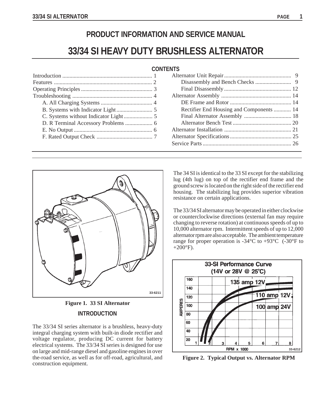## **PRODUCT INFORMATION AND SERVICE MANUAL**

## **33/34 SI HEAVY DUTY BRUSHLESS ALTERNATOR**

| <b>CONTENTS</b> |  |
|-----------------|--|
|-----------------|--|

## **CONTENTS**

| Rectifier End Housing and Components  14 |  |
|------------------------------------------|--|
|                                          |  |
|                                          |  |
|                                          |  |
|                                          |  |
|                                          |  |
|                                          |  |



**INTRODUCTION Figure 1. 33 SI Alternator**

The 33/34 SI series alternator is a brushless, heavy-duty integral charging system with built-in diode rectifier and voltage regulator, producing DC current for battery electrical systems. The 33/34 SI series is designed for use on large and mid-range diesel and gasoline engines in over the-road service, as well as for off-road, agricultural, and construction equipment.

The 34 SI is identical to the 33 SI except for the stabilizing lug (4th lug) on top of the rectifier end frame and the ground screw is located on the right side of the rectifier end housing. The stabilizing lug provides superior vibration resistance on certain applications.

The 33/34 SI alternator may be operated in either clockwise or counterclockwise directions (external fan may require changing to reverse rotation) at continuous speeds of up to 10,000 alternator rpm. Intermittent speeds of up to 12,000 alternator rpm are also acceptable. The ambient temperature range for proper operation is  $-34^{\circ}$ C to  $+93^{\circ}$ C  $(-30^{\circ}$ F to  $+200^{\circ}$ F).



**Figure 2. Typical Output vs. Alternator RPM**

**1**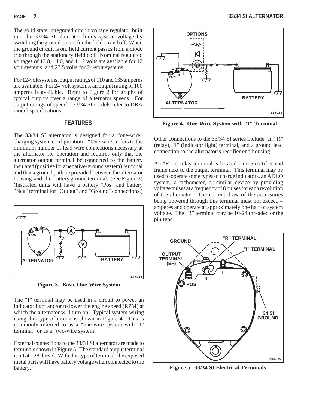The solid state, integrated circuit voltage regulator built into the 33/34 SI alternator limits system voltage by switching the ground circuit for the field on and off. When the ground circuit is on, field current passes from a diode trio through the stationary field coil. Nominal regulated voltages of 13.8, 14.0, and 14.2 volts are available for 12 volt systems, and 27.5 volts for 24-volt systems.

For 12-volt systems, output ratings of 110 and 135 amperes are available. For 24-volt systems, an output rating of 100 amperes is available. Refer to Figure 2 for graphs of typical outputs over a range of alternator speeds. For output ratings of specific 33/34 SI models refer to DRA model specifications.

## **FEATURES**

The 33/34 SI alternator is designed for a "one-wire" charging system configuration. "One-wire" refers to the minimum number of lead wire connections necessary at the alternator for operation and requires only that the alternator output terminal be connected to the battery insulated (positive for a negative-ground system) terminal and that a ground path be provided between the alternator housing and the battery ground terminal. (See Figure 3) (Insulated units will have a battery "Pos" and battery "Neg" terminal for "Output" and "Ground" connections.)



**Figure 3. Basic One-Wire System**

The "I" terminal may be used in a circuit to power an indicator light and/or to lower the engine speed (RPM) at which the alternator will turn on. Typical system wiring using this type of circuit is shown in Figure 4. This is commonly referred to as a "one-wire system with "I" terminal" or as a "two-wire system.

External connections to the 33/34 SI alternator are made to terminals shown in Figure 5. The standard output terminal is a 1/4"-28 thread. With this type of terminal, the exposed metal parts will have battery voltage when connected to the battery.



**Figure 4. One-Wire System with "I" Terminal**

Other connections to the 33/34 SI series include an "R" (relay), "I" (indicator light) terminal, and a ground lead connection to the alternator's rectifier end housing.

An "R" or relay terminal is located on the rectifier end frame next to the output terminal. This terminal may be used to operate some types of charge indicators, an ADLO system, a tachometer, or similar device by providing voltage pulses at a frequency of 8 pulses for each revolution of the alternator. The current draw of the accessories being powered through this terminal must not exceed 4 amperes and operate at approximately one half of system voltage. The "R" terminal may be 10-24 threaded or the pin type.



**Figure 5. 33/34 SI Electrical Terminals**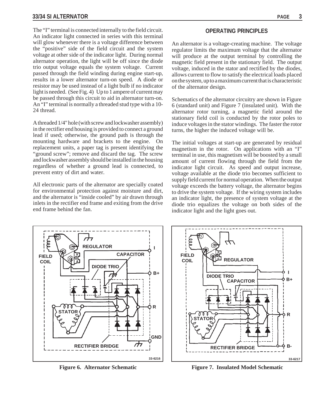The "I" terminal is connected internally to the field circuit. An indicator light connected in series with this terminal will glow whenever there is a voltage difference between the "positive" side of the field circuit and the system voltage at other side of the indicator light. During normal alternator operation, the light will be off since the diode trio output voltage equals the system voltage. Current passed through the field winding during engine start-up, results in a lower alternator turn-on speed. A diode or resistor may be used instead of a light bulb if no indicator light is needed. (See Fig. 4) Up to 1 ampere of current may be passed through this circuit to aid in alternator turn-on. An "I" terminal is normally a threaded stud type with a 10- 24 thread.

A threaded 1/4" hole (with screw and lockwasher assembly) in the rectifier end housing is provided to connect a ground lead if used; otherwise, the ground path is through the mounting hardware and brackets to the engine. On replacement units, a paper tag is present identifying the "ground screw"; remove and discard the tag. The screw and lockwasher assembly should be installed in the housing regardless of whether a ground lead is connected, to prevent entry of dirt and water.

All electronic parts of the alternator are specially coated for environmental protection against moisture and dirt, and the alternator is "inside cooled" by air drawn through inlets in the rectifier end frame and exiting from the drive end frame behind the fan.

## **OPERATING PRINCIPLES**

An alternator is a voltage-creating machine. The voltage regulator limits the maximum voltage that the alternator will produce at the output terminal by controlling the magnetic field present in the stationary field. The output voltage, induced in the stator and rectified by the diodes, allows current to flow to satisfy the electrical loads placed on the system, up to a maximum current that is characteristic of the alternator design.

Schematics of the alternator circuitry are shown in Figure 6 (standard unit) and Figure 7 (insulated unit). With the alternator rotor turning, a magnetic field around the stationary field coil is conducted by the rotor poles to induce voltages in the stator windings. The faster the rotor turns, the higher the induced voltage will be.

The initial voltages at start-up are generated by residual magnetism in the rotor. On applications with an "I" terminal in use, this magnetism will be boosted by a small amount of current flowing through the field from the indicator light circuit. As speed and output increase, voltage available at the diode trio becomes sufficient to supply field current for normal operation. When the output voltage exceeds the battery voltage, the alternator begins to drive the system voltage. If the wiring system includes an indicator light, the presence of system voltage at the diode trio equalizes the voltage on both sides of the indicator light and the light goes out.



**Figure 6. Alternator Schematic**



**Figure 7. Insulated Model Schematic**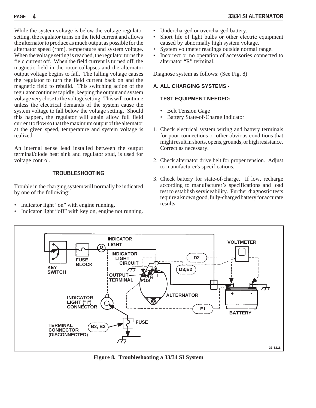While the system voltage is below the voltage regulator setting, the regulator turns on the field current and allows the alternator to produce as much output as possible for the alternator speed (rpm), temperature and system voltage. When the voltage setting is reached, the regulator turns the field current off. When the field current is turned off, the magnetic field in the rotor collapses and the alternator output voltage begins to fall. The falling voltage causes the regulator to turn the field current back on and the magnetic field to rebuild. This switching action of the regulator continues rapidly, keeping the output and system voltage very close to the voltage setting. This will continue unless the electrical demands of the system cause the system voltage to fall below the voltage setting. Should this happen, the regulator will again allow full field current to flow so that the maximum output of the alternator at the given speed, temperature and system voltage is realized.

An internal sense lead installed between the output terminal/diode heat sink and regulator stud, is used for voltage control.

## **TROUBLESHOOTING**

Trouble in the charging system will normally be indicated by one of the following:

- Indicator light "on" with engine running.
- Indicator light "off" with key on, engine not running.
- Undercharged or overcharged battery.
- Short life of light bulbs or other electric equipment caused by abnormally high system voltage.
- System voltmeter readings outside normal range.
- Incorrect or no operation of accessories connected to alternator "R" terminal.

Diagnose system as follows: (See Fig. 8)

## **A. ALL CHARGING SYSTEMS -**

## **TEST EQUIPMENT NEEDED:**

- Belt Tension Gage
- Battery State-of-Charge Indicator
- 1. Check electrical system wiring and battery terminals for poor connections or other obvious conditions that might result in shorts, opens, grounds, or high resistance. Correct as necessary.
- 2. Check alternator drive belt for proper tension. Adjust to manufacturer's specifications.
- 3. Check battery for state-of-charge. If low, recharge according to manufacturer's specifications and load test to establish serviceability. Further diagnostic tests require a known good, fully-charged battery for accurate results.



**Figure 8. Troubleshooting a 33/34 SI System**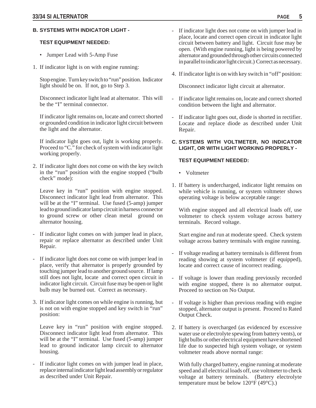## **B. SYSTEMS WITH INDICATOR LIGHT -**

### **TEST EQUIPMENT NEEDED:**

- Jumper Lead with 5-Amp Fuse
- 1. If indicator light is on with engine running:

Stop engine. Turn key switch to "run" position. Indicator light should be on. If not, go to Step 3.

Disconnect indicator light lead at alternator. This will be the "I" terminal connector.

If indicator light remains on, locate and correct shorted or grounded condition in indicator light circuit between the light and the alternator.

If indicator light goes out, light is working properly. Proceed to "C." for check of system with indicator light working properly.

2. If indicator light does not come on with the key switch in the "run" position with the engine stopped ("bulb check" mode):

Leave key in "run" position with engine stopped. Disconnect indicator light lead from alternator. This will be at the "I" terminal. Use fused (5-amp) jumper lead to ground indicator lamp circuit in harness connector to ground screw or other clean metal ground on alternator housing.

- If indicator light comes on with jumper lead in place, repair or replace alternator as described under Unit Repair.
- If indicator light does not come on with jumper lead in place, verify that alternator is properly grounded by touching jumper lead to another ground source. If lamp still does not light, locate and correct open circuit in indicator light circuit. Circuit fuse may be open or light bulb may be burned out. Correct as necessary.
- 3. If indicator light comes on while engine is running, but is not on with engine stopped and key switch in "run" position:

Leave key in "run" position with engine stopped. Disconnect indicator light lead from alternator. This will be at the "I" terminal. Use fused (5-amp) jumper lead to ground indicator lamp circuit to alternator housing.

If indicator light comes on with jumper lead in place, replace internal indicator light lead assembly or regulator as described under Unit Repair.

- If indicator light does not come on with jumper lead in place, locate and correct open circuit in indicator light circuit between battery and light. Circuit fuse may be open. (With engine running, light is being powered by alternator and grounded through other circuits connected in parallel to indicator light circuit.) Correct as necessary.
- 4. If indicator light is on with key switch in "off" position:

Disconnect indicator light circuit at alternator.

- If indicator light remains on, locate and correct shorted condition between the light and alternator.
- If indicator light goes out, diode is shorted in rectifier. Locate and replace diode as described under Unit Repair.
- **C. SYSTEMS WITH VOLTMETER, NO INDICATOR LIGHT, OR WITH LIGHT WORKING PROPERLY -**

## **TEST EQUIPMENT NEEDED:**

- Voltmeter
- 1. If battery is undercharged, indicator light remains on while vehicle is running, or system voltmeter shows operating voltage is below acceptable range:

With engine stopped and all electrical loads off, use voltmeter to check system voltage across battery terminals. Record voltage.

Start engine and run at moderate speed. Check system voltage across battery terminals with engine running.

- If voltage reading at battery terminals is different from reading showing at system voltmeter (if equipped), locate and correct cause of incorrect reading.
- If voltage is lower than reading previously recorded with engine stopped, there is no alternator output. Proceed to section on No Output.
- If voltage is higher than previous reading with engine stopped, alternator output is present. Proceed to Rated Output Check.
- 2. If battery is overcharged (as evidenced by excessive water use or electrolyte spewing from battery vents), or light bulbs or other electrical equipment have shortened life due to suspected high system voltage, or system voltmeter reads above normal range:

With fully charged battery, engine running at moderate speed and all electrical loads off, use voltmeter to check voltage at battery terminals. (Battery electrolyte temperature must be below 120°F (49°C).)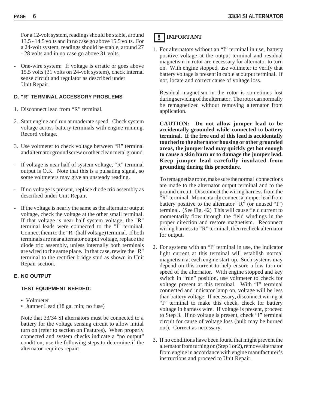For a 12-volt system, readings should be stable, around 13.5 - 14.5 volts and in no case go above 15.5 volts. For a 24-volt system, readings should be stable, around 27 - 28 volts and in no case go above 31 volts.

- One-wire system: If voltage is erratic or goes above 15.5 volts (31 volts on 24-volt system), check internal sense circuit and regulator as described under Unit Repair.

## **D. "R" TERMINAL ACCESSORY PROBLEMS**

- 1. Disconnect lead from "R" terminal.
- 2. Start engine and run at moderate speed. Check system voltage across battery terminals with engine running. Record voltage.
- 3. Use voltmeter to check voltage between "R" terminal and alternator ground screw or other clean metal ground.
- If voltage is near half of system voltage, "R" terminal output is O.K. Note that this is a pulsating signal, so some voltmeters may give an unsteady reading.
- If no voltage is present, replace diode trio assembly as described under Unit Repair.
- If the voltage is nearly the same as the alternator output voltage, check the voltage at the other small terminal. If that voltage is near half system voltage, the "R" terminal leads were connected to the "I" terminal. Connect them to the "R" (half voltage) terminal. If both terminals are near alternator output voltage, replace the diode trio assembly, unless internally both terminals are wired to the same place. In that case, rewire the "R" terminal to the rectifier bridge stud as shown in Unit Repair section.

## **E. NO OUTPUT**

## **TEST EQUIPMENT NEEDED:**

- Voltmeter
- Jumper Lead (18 ga. min; no fuse)

Note that 33/34 SI alternators must be connected to a battery for the voltage sensing circuit to allow initial turn on (refer to section on Features). When properly connected and system checks indicate a "no output" condition, use the following steps to determine if the alternator requires repair:

## **I** IMPORTANT

1. For alternators without an "I" terminal in use, battery positive voltage at the output terminal and residual magnetism in rotor are necessary for alternator to turn on. With engine stopped, use voltmeter to verify that battery voltage is present in cable at output terminal. If not, locate and correct cause of voltage loss.

Residual magnetism in the rotor is sometimes lost during servicing of the alternator. The rotor can normally be remagnetized without removing alternator from application.

**CAUTION: Do not allow jumper lead to be accidentally grounded while connected to battery terminal. If the free end of this lead is accidentally touched to the alternator housing or other grounded areas, the jumper lead may quickly get hot enough to cause a skin burn or to damage the jumper lead. Keep jumper lead carefully insulated from grounding during this procedure.**

To remagnetize rotor, make sure the normal connections are made to the alternator output terminal and to the ground circuit. Disconnect the wiring harness from the "R" terminal. Momentarily connect a jumper lead from battery positive to the alternator "R" (or unused "I") terminal. (See Fig. 42) This will cause field current to momentarily flow through the field windings in the proper direction and restore magnetism. Reconnect wiring harness to "R" terminal, then recheck alternator for output.

- 2. For systems with an "I" terminal in use, the indicator light current at this terminal will establish normal magnetism at each engine start-up. Such systems may depend on this current to help ensure a low turn-on speed of the alternator. With engine stopped and key switch in "run" position, use voltmeter to check for voltage present at this terminal. With "I" terminal connected and indicator lamp on, voltage will be less than battery voltage. If necessary, disconnect wiring at "I" terminal to make this check, check for battery voltage in harness wire. If voltage is present, proceed to Step 3. If no voltage is present, check "I" terminal circuit for cause of voltage loss (bulb may be burned out). Correct as necessary.
- 3. If no conditions have been found that might prevent the alternator from turning on (Step 1 or 2), remove alternator from engine in accordance with engine manufacturer's instructions and proceed to Unit Repair.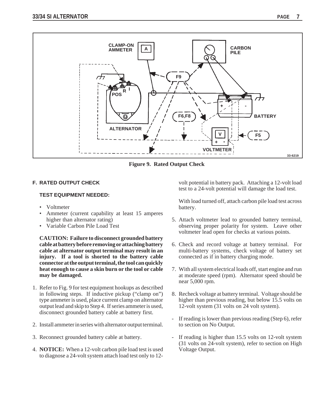

**Figure 9. Rated Output Check**

## **F. RATED OUTPUT CHECK**

### **TEST EQUIPMENT NEEDED:**

- Voltmeter
- Ammeter (current capability at least 15 amperes higher than alternator rating)
- Variable Carbon Pile Load Test

**CAUTION: Failure to disconnect grounded battery cable at battery before removing or attaching battery cable at alternator output terminal may result in an injury. If a tool is shorted to the battery cable connector at the output terminal, the tool can quickly heat enough to cause a skin burn or the tool or cable may be damaged.**

- 1. Refer to Fig. 9 for test equipment hookups as described in following steps. If inductive pickup ("clamp on") type ammeter is used, place current clamp on alternator output lead and skip to Step 4. If series ammeter is used, disconnect grounded battery cable at battery first.
- 2. Install ammeter in series with alternator output terminal.
- 3. Reconnect grounded battery cable at battery.
- 4. **NOTICE:** When a 12-volt carbon pile load test is used to diagnose a 24-volt system attach load test only to 12-

volt potential in battery pack. Attaching a 12-volt load test to a 24-volt potential will damage the load test.

With load turned off, attach carbon pile load test across battery.

- 5. Attach voltmeter lead to grounded battery terminal, observing proper polarity for system. Leave other voltmeter lead open for checks at various points.
- 6. Check and record voltage at battery terminal. For multi-battery systems, check voltage of battery set connected as if in battery charging mode.
- 7. With all system electrical loads off, start engine and run at moderate speed (rpm). Alternator speed should be near 5,000 rpm.
- 8. Recheck voltage at battery terminal. Voltage should be higher than previous reading, but below 15.5 volts on 12-volt system (31 volts on 24 volt system).
- If reading is lower than previous reading (Step 6), refer to section on No Output.
- If reading is higher than 15.5 volts on 12-volt system (31 volts on 24-volt system), refer to section on High Voltage Output.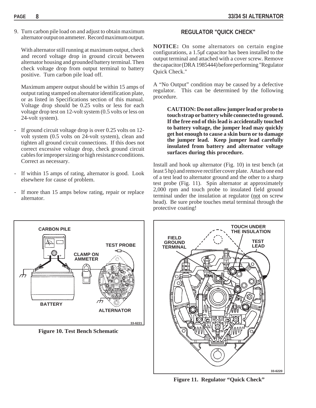9. Turn carbon pile load on and adjust to obtain maximum alternator output on ammeter. Record maximum output.

With alternator still running at maximum output, check and record voltage drop in ground circuit between alternator housing and grounded battery terminal. Then check voltage drop from output terminal to battery positive. Turn carbon pile load off.

Maximum ampere output should be within 15 amps of output rating stamped on alternator identification plate, or as listed in Specifications section of this manual. Voltage drop should be 0.25 volts or less for each voltage drop test on 12-volt system (0.5 volts or less on 24-volt system).

- If ground circuit voltage drop is over 0.25 volts on 12volt system (0.5 volts on 24-volt system), clean and tighten all ground circuit connections. If this does not correct excessive voltage drop, check ground circuit cables for improper sizing or high resistance conditions. Correct as necessary.
- If within 15 amps of rating, alternator is good. Look elsewhere for cause of problem.
- If more than 15 amps below rating, repair or replace alternator.

## **REGULATOR "QUICK CHECK"**

**NOTICE:** On some alternators on certain engine configurations, a 1.5µf capacitor has been installed to the output terminal and attached with a cover screw. Remove the capacitor (DRA 1985444) before performing "Regulator Quick Check."

A "No Output" condition may be caused by a defective regulator. This can be determined by the following procedure.

**CAUTION: Do not allow jumper lead or probe to touch strap or battery while connected to ground. If the free end of this lead is accidentally touched to battery voltage, the jumper lead may quickly get hot enough to cause a skin burn or to damage the jumper lead. Keep jumper lead carefully insulated from battery and alternator voltage surfaces during this procedure.**

Install and hook up alternator (Fig. 10) in test bench (at least 5 hp) and remove rectifier cover plate. Attach one end of a test lead to alternator ground and the other to a sharp test probe (Fig. 11). Spin alternator at approximately 2,000 rpm and touch probe to insulated field ground terminal under the insulation at regulator (not on screw head). Be sure probe touches metal terminal through the protective coating!



**Figure 10. Test Bench Schematic**



**Figure 11. Regulator "Quick Check"**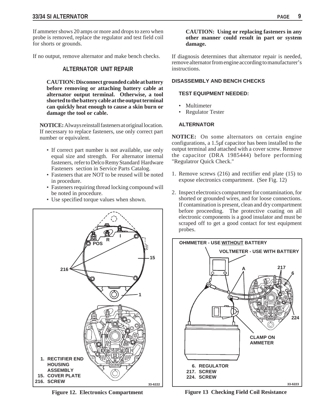If ammeter shows 20 amps or more and drops to zero when probe is removed, replace the regulator and test field coil for shorts or grounds.

If no output, remove alternator and make bench checks.

## **ALTERNATOR UNIT REPAIR**

**CAUTION: Disconnect grounded cable at battery before removing or attaching battery cable at alternator output terminal. Otherwise, a tool shorted to the battery cable at the output terminal can quickly heat enough to cause a skin burn or damage the tool or cable.**

**NOTICE:** Always reinstall fasteners at original location. If necessary to replace fasteners, use only correct part number or equivalent.

- If correct part number is not available, use only equal size and strength. For alternator internal fasteners, refer to Delco Remy Standard Hardware Fasteners section in Service Parts Catalog.
- Fasteners that are NOT to be reused will be noted in procedure.
- Fasteners requiring thread locking compound will be noted in procedure.
- Use specified torque values when shown.



**Figure 12. Electronics Compartment**

## **CAUTION: Using or replacing fasteners in any other manner could result in part or system damage.**

If diagnosis determines that alternator repair is needed, remove alternator from engine according to manufacturer's instructions.

## **DISASSEMBLY AND BENCH CHECKS**

### **TEST EQUIPMENT NEEDED:**

- Multimeter
- Regulator Tester

## **ALTERNATOR**

**NOTICE:** On some alternators on certain engine configurations, a 1.5µf capacitor has been installed to the output terminal and attached with a cover screw. Remove the capacitor (DRA 1985444) before performing "Regulatror Quick Check."

- 1. Remove screws (216) and rectifier end plate (15) to expose electronics compartment. (See Fig. 12)
- 2. Inspect electronics compartment for contamination, for shorted or grounded wires, and for loose connections. If contamination is present, clean and dry compartment before proceeding. The protective coating on all electronic components is a good insulator and must be scraped off to get a good contact for test equipment probes.



**Figure 13 Checking Field Coil Resistance**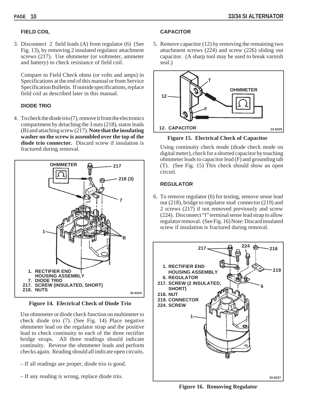## **FIELD COIL**

3. Disconnect 2 field leads (A) from regulator (6) (See Fig. 13), by removing 2 insulated regulator attachment screws (217). Use ohmmeter (or voltmeter, ammeter and battery) to check resistance of field coil.

Compare to Field Check ohms (or volts and amps) in Specifications at the end of this manual or from Service Specification Bulletin. If outside specifications, replace field coil as described later in this manual.

## **DIODE TRIO**

4. To check the diode trio (7), remove it from the electronics compartment by detaching the 3 nuts (218), stator leads (B) and attaching screw (217). **Note that the insulating washer on the screw is assembled over the top of the diode trio connector.** Discard screw if insulation is fractured during removal.



**Figure 14. Electrical Check of Diode Trio**

Use ohmmeter or diode check function on multimeter to check diode trio (7). (See Fig. 14) Place negative ohmmeter lead on the regulator strap and the positive lead to check continuity to each of the three rectifier bridge straps. All three readings should indicate continuity. Reverse the ohmmeter leads and perform checks again. Reading should all indicate open circuits.

- If all readings are proper, diode trio is good.
- If any reading is wrong, replace diode trio.

## **CAPACITOR**

5. Remove capacitor (12) by removing the remaining two attachment screws (224) and screw (226) sliding out capacitor. (A sharp tool may be used to break varnish seal.)



**Figure 15. Electrical Check of Capacitor**

Using continuity check mode (diode check mode on digital meter), check for a shorted capacitor by touching ohmmeter leads to capacitor lead (F) and grounding tab (T). (See Fig. 15) This check should show an open circuit.

## **REGULATOR**

6. To remove regulator (6) for testing, remove sense lead nut (218), bridge to regulator stud connector (219) and 2 screws (217) if not removed previously and screw (224). Disconnect "I" terminal sense lead strap to allow regulator removal. (See Fig. 16) Note: Discard insulated screw if insulation is fractured during removal.



**Figure 16. Removing Regulator**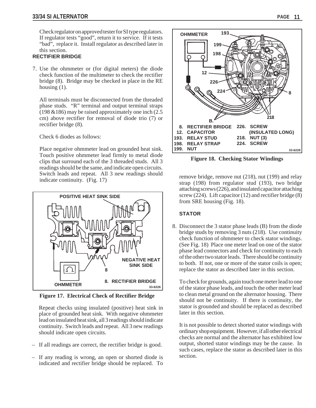Check regulator on approved tester for SI type regulators. If regulator tests "good", return it to service. If it tests "bad", replace it. Install regulator as described later in this section.

## **RECTIFIER BRIDGE**

7. Use the ohmmeter or (for digital meters) the diode check function of the multimeter to check the rectifier bridge (8). Bridge may be checked in place in the RE housing (1).

All terminals must be disconnected from the threaded phase studs. "R" terminal and output terminal straps (198 &186) may be raised approximately one inch (2.5 cm) above rectifier for removal of diode trio (7) or rectifier bridge (8).

Check 6 diodes as follows:

Place negative ohmmeter lead on grounded heat sink. Touch positive ohmmeter lead firmly to metal diode clips that surround each of the 3 threaded studs. All 3 readings should be the same, and indicate open circuits. Switch leads and repeat. All 3 new readings should Exercise continuity. (Fig. 17) **remove bridge, remove nut (218)**, nut (199) and relay indicate continuity. (Fig. 17)



**Figure 17. Electrical Check of Rectifier Bridge**

Repeat checks using insulated (positive) heat sink in place of grounded heat sink. With negative ohmmeter lead on insulated heat sink, all 3 readings should indicate continuity. Switch leads and repeat. All 3 new readings should indicate open circuits.

- If all readings are correct, the rectifier bridge is good.
- If any reading is wrong, an open or shorted diode is indicated and rectifier bridge should be replaced. To



**Figure 18. Checking Stator Windings**

strap (198) from regulator stud (193), two bridge attaching screws (226), and insulated capacitor attaching screw (224). Lift capacitor (12) and rectifier bridge  $(8)$ from SRE housing (Fig. 18).

## **STATOR**

8. Disconnect the 3 stator phase leads (B) from the diode bridge studs by removing 3 nuts (218). Use continuity check function of ohmmeter to check stator windings. (See Fig. 18) Place one meter lead on one of the stator phase lead connectors and check for continuity to each of the other two stator leads. There should be continuity to both. If not, one or more of the stator coils is open; replace the stator as described later in this section.

To check for grounds, again touch one meter lead to one of the stator phase leads, and touch the other meter lead to clean metal ground on the alternator housing. There should not be continuity. If there is continuity, the stator is grounded and should be replaced as described later in this section.

It is not possible to detect shorted stator windings with ordinary shop equipment. However, if all other electrical checks are normal and the alternator has exhibited low output, shorted stator windings may be the cause. In such cases, replace the stator as described later in this section.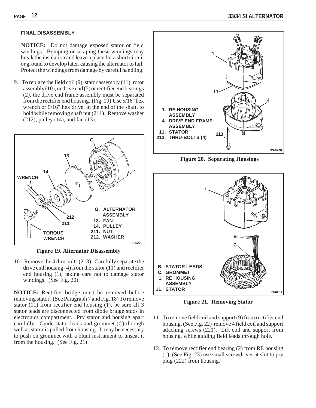## **FINAL DISASSEMBLY**

 **NOTICE:** Do not damage exposed stator or field windings. Bumping or scraping these windings may break the insulation and leave a place for a short circuit or ground to develop later, causing the alternator to fail. Protect the windings from damage by careful handling.

9. To replace the field coil (9), stator assembly (11), rotor assembly (10), or drive end (5) or rectifier end bearings (2), the drive end frame assembly must be separated from the rectifier end housing. (Fig. 19) Use 5/16" hex wrench or 5/16" hex drive, in the end of the shaft, to hold while removing shaft nut (211). Remove washer (212), pulley (14), and fan (13).



**Figure 19. Alternator Disassembly**

10. Remove the 4 thru bolts (213). Carefully separate the drive end housing (4) from the stator (11) and rectifier end housing (1), taking care not to damage stator windings. (See Fig. 20)

**NOTICE:** Rectifier bridge must be removed before removing stator. (See Paragraph 7 and Fig. 18) To remove stator (11) from rectifier end housing (1), be sure all 3 stator leads are disconnected from diode bridge studs in electronics compartment. Pry stator and housing apart carefully. Guide stator leads and grommet (C) through well as stator is pulled from housing. It may be necessary to push on grommet with a blunt instrument to unseat it from the housing. (See Fig. 21)



**Figure 20. Separating Housings**



**Figure 21. Removing Stator**

- 11. To remove field coil and support (9) from rectifier end housing, (See Fig. 22) remove 4 field coil and support attaching screws (221). Lift coil and support from housing, while guiding field leads through hole.
- 12. To remove rectifier end bearing (2) from RE housing (1), (See Fig. 23) use small screwdriver at slot to pry plug (222) from housing.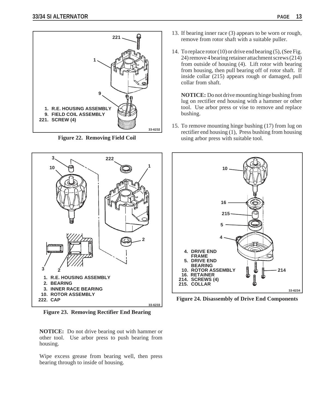



**Figure 22. Removing Field Coil**



**Figure 23. Removing Rectifier End Bearing**

**NOTICE:** Do not drive bearing out with hammer or other tool. Use arbor press to push bearing from housing.

Wipe excess grease from bearing well, then press bearing through to inside of housing.

- 13. If bearing inner race (3) appears to be worn or rough, remove from rotor shaft with a suitable puller.
- 14. To replace rotor (10) or drive end bearing (5), (See Fig. 24) remove 4 bearing retainer attachment screws (214) from outside of housing (4). Lift rotor with bearing from housing, then pull bearing off of rotor shaft. If inside collar (215) appears rough or damaged, pull collar from shaft.

**NOTICE:** Do not drive mounting hinge bushing from lug on rectifier end housing with a hammer or other tool. Use arbor press or vise to remove and replace bushing.

15. To remove mounting hinge bushing (17) from lug on rectifier end housing (1), Press bushing from housing using arbor press with suitable tool.



**Figure 24. Disassembly of Drive End Components**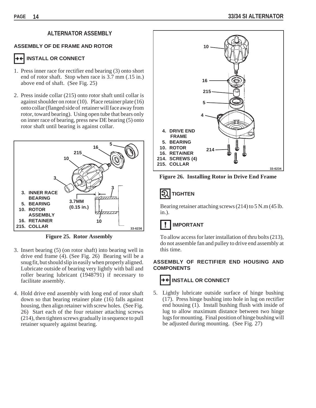## **ALTERNATOR ASSEMBLY**

### **ASSEMBLY OF DE FRAME AND ROTOR**

## **INSTALL OR CONNECT**

- 1. Press inner race for rectifier end bearing (3) onto short end of rotor shaft. Stop when race is 3.7 mm (.15 in.) above end of shaft. (See Fig. 25)
- 2. Press inside collar (215) onto rotor shaft until collar is against shoulder on rotor (10). Place retainer plate (16) onto collar (flanged side of retainer will face away from rotor, toward bearing). Using open tube that bears only on inner race of bearing, press new DE bearing (5) onto rotor shaft until bearing is against collar.



**Figure 25. Rotor Assembly**

- 3. Insert bearing (5) (on rotor shaft) into bearing well in drive end frame (4). (See Fig. 26) Bearing will be a snug fit, but should slip in easily when properly aligned. Lubricate outside of bearing very lightly with ball and roller bearing lubricant (1948791) if necessary to facilitate assembly.
- 4. Hold drive end assembly with long end of rotor shaft down so that bearing retainer plate (16) falls against housing, then align retainer with screw holes. (See Fig. 26) Start each of the four retainer attaching screws (214), then tighten screws gradually in sequence to pull retainer squarely against bearing.



**Figure 26. Installing Rotor in Drive End Frame**

#### 1Ð **TIGHTEN**

Bearing retainer attaching screws (214) to 5 N.m (45 lb. in.).

## **IMPORTANT**

To allow access for later installation of thru bolts (213), do not assemble fan and pulley to drive end assembly at this time.

## **ASSEMBLY OF RECTIFIER END HOUSING AND COMPONENTS**



5. Lightly lubricate outside surface of hinge bushing (17). Press hinge bushing into hole in lug on rectifier end housing (1). Install bushing flush with inside of lug to allow maximum distance between two hinge lugs for mounting. Final position of hinge bushing will be adjusted during mounting. (See Fig. 27)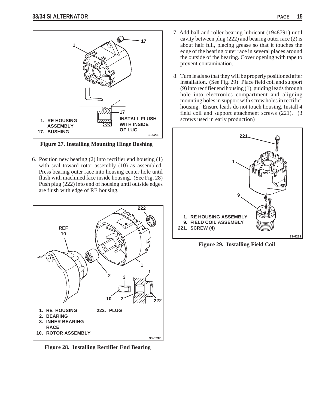

**Figure 27. Installing Mounting Hinge Bushing**

6. Position new bearing (2) into rectifier end housing (1) with seal toward rotor assembly (10) as assembled. Press bearing outer race into housing center hole until flush with machined face inside housing. (See Fig. 28) Push plug (222) into end of housing until outside edges are flush with edge of RE housing.



**Figure 28. Installing Rectifier End Bearing**

- 7. Add ball and roller bearing lubricant (1948791) until cavity between plug (222) and bearing outer race (2) is about half full, placing grease so that it touches the edge of the bearing outer race in several places around the outside of the bearing. Cover opening with tape to prevent contamination.
- 8. Turn leads so that they will be properly positioned after installation. (See Fig. 29) Place field coil and support (9) into rectifier end housing (1), guiding leads through hole into electronics compartment and aligning mounting holes in support with screw holes in rectifier housing. Ensure leads do not touch housing. Install 4 field coil and support attachment screws (221). (3 screws used in early production)



**Figure 29. Installing Field Coil**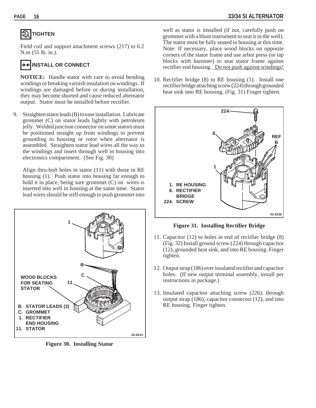## **TIGHTEN**

Field coil and support attachment screws (217) to 6.2 N.m (55 lb. in.).

## **INSTALL OR CONNECT**

**NOTICE:** Handle stator with care to avoid bending windings or breaking varnish insulation on windings. If windings are damaged before or during installation, they may become shorted and cause reduced alternator output. Stator must be installed before rectifier.

9. Straighten stator leads (B) to ease installation. Lubricate grommet (C) on stator leads lightly with petroleum jelly. Welded junction connector on some stators must be positioned straight up from windings to prevent grounding to housing or rotor when alternator is assembled. Straighten stator lead wires all the way to the windings and insert through well in housing into electronics compartment. (See Fig. 30)

Align thru-bolt holes in stator (11) with those in RE housing (1). Push stator into housing far enough to hold it in place, being sure grommet (C) on wires is inserted into well in housing at the same time. Stator lead wires should be stiff enough to push grommet into



**Figure 30. Installing Stator**

well as stator is installed (if not, carefully push on grommet with a blunt instrument to seat it in the well). The stator must be fully seated in housing at this time. Note: If necessary, place wood blocks on opposite corners of the stator frame and use arbor press (or tap blocks with hammer) to seat stator frame against rectifier end housing. Do not push against windings!

10. Rectifier bridge (8) to RE housing (1). Install one rectifier bridge attaching screw (224) through grounded heat sink into RE housing. (Fig. 31) Finger tighten.



**Figure 31. Installing Rectifier Bridge**

- 11. Capacitor (12) to holes in end of rectifier bridge (8) (Fig. 32) Install ground screw (224) through capacitor (12), grounded heat sink, and into RE housing. Finger tighten.
- 12. Output strap (186) over insulated rectifier and capacitor holes. (If new output terminal assembly, install per instructions in package.)
- 13. Insulated capacitor attaching screw (226), through output strap (186), capacitor connector (12), and into RE housing. Finger tighten.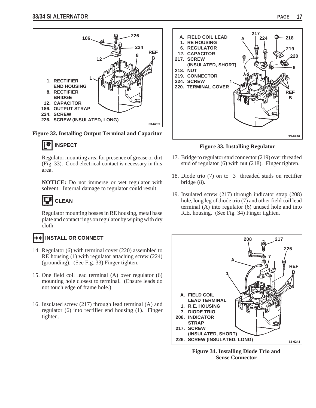

**Figure 32. Installing Output Terminal and Capacitor**



Regulator mounting area for presence of grease or dirt (Fig. 33). Good electrical contact is necessary in this area.

**NOTICE:** Do not immerse or wet regulator with solvent. Internal damage to regulator could result.

## **CLEAN**

Regulator mounting bosses in RE housing, metal base plate and contact rings on regulator by wiping with dry cloth.

## **INSTALL OR CONNECT**

- 14. Regulator (6) with terminal cover (220) assembled to RE housing (1) with regulator attaching screw (224) (grounding). (See Fig. 33) Finger tighten.
- 15. One field coil lead terminal (A) over regulator (6) mounting hole closest to terminal. (Ensure leads do not touch edge of frame hole.)
- 16. Insulated screw (217) through lead terminal (A) and regulator (6) into rectifier end housing (1). Finger tighten.



**Figure 33. Installing Regulator**

- 17. Bridge to regulator stud connector (219) over threaded stud of regulator (6) with nut (218). Finger tighten.
- 18. Diode trio (7) on to 3 threaded studs on rectifier bridge (8).
- 19. Insulated screw (217) through indicator strap (208) hole, long leg of diode trio (7) and other field coil lead terminal (A) into regulator (6) unused hole and into R.E. housing. (See Fig. 34) Finger tighten.



**Figure 34. Installing Diode Trio and Sense Connector**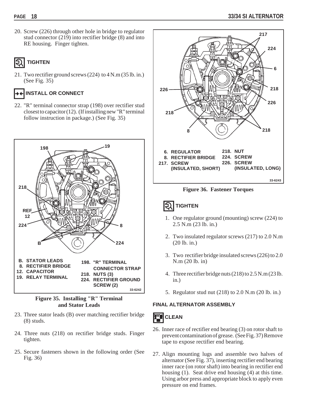20. Screw (226) through other hole in bridge to regulator stud connector (219) into rectifier bridge (8) and into RE housing. Finger tighten.

## **TIGHTEN**

21. Two rectifier ground screws (224) to 4 N.m (35 lb. in.) (See Fig. 35)

## **INSTALL OR CONNECT**

22. "R" terminal connector strap (198) over rectifier stud closest to capacitor (12). (If installing new "R" terminal follow instruction in package.) (See Fig. 35)



## **Figure 35. Installing "R" Terminal and Stator Leads**

- 23. Three stator leads (B) over matching rectifier bridge (8) studs.
- 24. Three nuts (218) on rectifier bridge studs. Finger tighten.
- 25. Secure fasteners shown in the following order (See Fig. 36)



**Figure 36. Fastener Torques**

## **TIGHTEN**

- 1. One regulator ground (mounting) screw (224) to 2.5 N.m (23 lb. in.)
- 2. Two insulated regulator screws (217) to 2.0 N.m (20 lb. in.)
- 3. Two rectifier bridge insulated screws (226) to 2.0 N.m (20 lb. in)
- 4. Three rectifier bridge nuts (218) to 2.5 N.m (23 lb. in.)
- 5. Regulator stud nut (218) to 2.0 N.m (20 lb. in.)

## **FINAL ALTERNATOR ASSEMBLY**



- 26. Inner race of rectifier end bearing (3) on rotor shaft to prevent contamination of grease. (See Fig. 37) Remove tape to expose rectifier end bearing.
- 27. Align mounting lugs and assemble two halves of alternator (See Fig. 37), inserting rectifier end bearing inner race (on rotor shaft) into bearing in rectifier end housing (1). Seat drive end housing (4) at this time. Using arbor press and appropriate block to apply even pressure on end frames.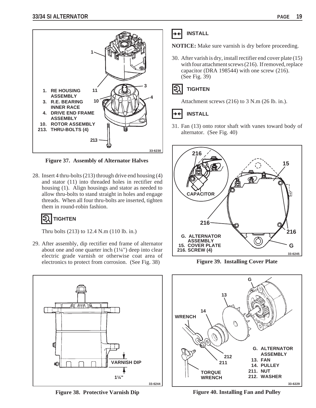

**Figure 37. Assembly of Alternator Halves**

28. Insert 4 thru-bolts (213) through drive end housing (4) and stator (11) into threaded holes in rectifier end housing (1). Align housings and stator as needed to allow thru-bolts to stand straight in holes and engage threads. When all four thru-bolts are inserted, tighten them in round-robin fashion.

## **TIGHTEN**

Thru bolts (213) to 12.4 N.m (110 lb. in.)

29. After assembly, dip rectifier end frame of alternator about one and one quarter inch (1¼") deep into clear electric grade varnish or otherwise coat area of electronics to protect from corrosion. (See Fig. 38)



**NOTICE:** Make sure varnish is dry before proceeding.

30. After varish is dry, install rectifier end cover plate (15) with four attachment screws (216). If removed, replace capacitor (DRA 198544) with one screw (216). (See Fig. 39)

#### **TIGHTEN** せ

Attachment screws (216) to 3 N.m (26 lb. in.).

## **INSTALL**

31. Fan (13) onto rotor shaft with vanes toward body of alternator. (See Fig. 40)



**Figure 39. Installing Cover Plate**



**Figure 38. Protective Varnish Dip**



**Figure 40. Installing Fan and Pulley**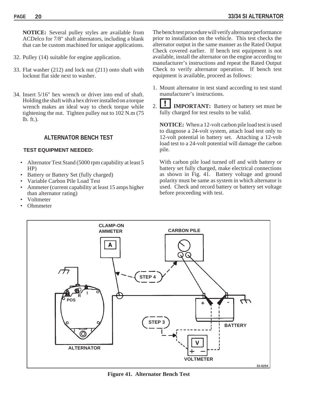**NOTICE:** Several pulley styles are available from ACDelco for 7/8" shaft alternators, including a blank that can be custom machined for unique applications.

- 32. Pulley (14) suitable for engine application.
- 33. Flat washer (212) and lock nut (211) onto shaft with locknut flat side next to washer.
- 34. Insert 5/16" hex wrench or driver into end of shaft. Holding the shaft with a hex driver installed on a torque wrench makes an ideal way to check torque while tightening the nut. Tighten pulley nut to  $102$  N.m (75) lb. ft.).

## **ALTERNATOR BENCH TEST**

## **TEST EQUIPMENT NEEDED:**

- Alternator Test Stand (5000 rpm capability at least 5 HP)
- Battery or Battery Set (fully charged)
- Variable Carbon Pile Load Test
- Ammeter (current capability at least 15 amps higher than alternator rating)
- Voltmeter
- Ohmmeter

The bench test procedure will verify alternator performance prior to installation on the vehicle. This test checks the alternator output in the same manner as the Rated Output Check covered earlier. If bench test equipment is not available, install the alternator on the engine according to manufacturer's instructions and repeat the Rated Output Check to verify alternator operation. If bench test equipment is available, proceed as follows:

- 1. Mount alternator in test stand according to test stand manufacturer's instructions.
- 2. **IMPORTANT:** Battery or battery set must be fully charged for test results to be valid.

**NOTICE:** When a 12-volt carbon pile load test is used to diagnose a 24-volt system, attach load test only to 12-volt potential in battery set. Attaching a 12-volt load test to a 24-volt potential will damage the carbon pile.

With carbon pile load turned off and with battery or battery set fully charged, make electrical connections as shown in Fig. 41. Battery voltage and ground polarity must be same as system in which alternator is used. Check and record battery or battery set voltage before proceeding with test.



**Figure 41. Alternator Bench Test**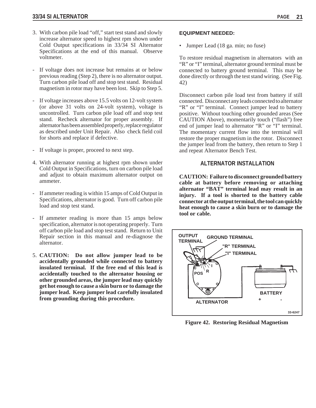- 3. With carbon pile load "off," start test stand and slowly increase alternator speed to highest rpm shown under Cold Output specifications in 33/34 SI Alternator Specifications at the end of this manual. Observe voltmeter.
- If voltage does not increase but remains at or below previous reading (Step 2), there is no alternator output. Turn carbon pile load off and stop test stand. Residual magnetism in rotor may have been lost. Skip to Step 5.
- If voltage increases above 15.5 volts on 12-volt system (or above 31 volts on 24-volt system), voltage is uncontrolled. Turn carbon pile load off and stop test stand. Recheck alternator for proper assembly. If alternator has been assembled properly, replace regulator as described under Unit Repair. Also check field coil for shorts and replace if defective.
- If voltage is proper, proceed to next step.
- 4. With alternator running at highest rpm shown under Cold Output in Specifications, turn on carbon pile load and adjust to obtain maximum alternator output on ammeter.
- If ammeter reading is within 15 amps of Cold Output in Specifications, alternator is good. Turn off carbon pile load and stop test stand.
- If ammeter reading is more than 15 amps below specification, alternator is not operating properly. Turn off carbon pile load and stop test stand. Return to Unit Repair section in this manual and re-diagnose the alternator.
- 5. **CAUTION: Do not allow jumper lead to be accidentally grounded while connected to battery insulated terminal. If the free end of this lead is accidentally touched to the alternator housing or other grounded areas, the jumper lead may quickly get hot enough to cause a skin burn or to damage the jumper lead. Keep jumper lead carefully insulated from grounding during this procedure.**

### **EQUIPMENT NEEDED:**

• Jumper Lead (18 ga. min; no fuse)

To restore residual magnetism in alternators with an "R" or "I" terminal, alternator ground terminal must be connected to battery ground terminal. This may be done directly or through the test stand wiring. (See Fig. 42)

Disconnect carbon pile load test from battery if still connected. Disconnect any leads connected to alternator "R" or "I" terminal. Connect jumper lead to battery positive. Without touching other grounded areas (See CAUTION Above), momentarily touch ("flash") free end of jumper lead to alternator "R" or "I" terminal. The momentary current flow into the terminal will restore the proper magnetism in the rotor. Disconnect the jumper lead from the battery, then return to Step 1 and repeat Alternator Bench Test.

## **ALTERNATOR INSTALLATION**

**CAUTION: Failure to disconnect grounded battery cable at battery before removing or attaching alternator "BAT" terminal lead may result in an injury. If a tool is shorted to the battery cable connector at the output terminal, the tool can quickly heat enough to cause a skin burn or to damage the tool or cable.**



**Figure 42. Restoring Residual Magnetism**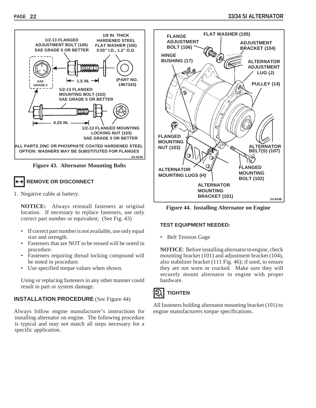

## **REMOVE OR DISCONNECT**

1. Negative cable at battery.

**NOTICE:** Always reinstall fasteners at original location. If necessary to replace fasteners, use only correct part number or equivalent. (See Fig. 43)

- If correct part number is not available, use only equal size and strength.
- Fasteners that are NOT to be reused will be noted in procedure.
- Fasteners requiring thread locking compound will be noted in procedure.
- Use specified torque values when shown.

Using or replacing fasteners in any other manner could result in part or system damage.

## **INSTALLATION PROCEDURE** (See Figure 44)

Always follow engine manufacturer's instructions for installing alternator on engine. The following procedure is typical and may not match all steps necessary for a specific application.



**Figure 44. Installing Alternator on Engine**

## **TEST EQUIPMENT NEEDED:**

• Belt Tension Gage

**NOTICE**: Before installing alternator to engine, check mounting bracket (101) and adjustment bracket (104), also stabilizer bracket (111 Fig. 46); if used, to ensure they are not worn or cracked. Make sure they will securely mount alternator to engine with proper hardware.



All fasteners holding alternator mounting bracket (101) to engine manufacturers torque specifications.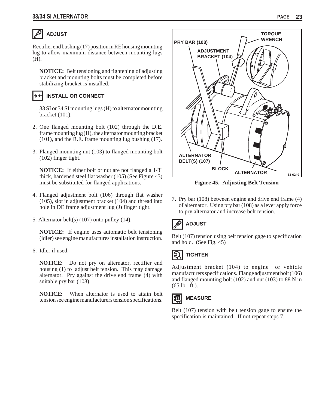## **ADJUST**

Rectifier end bushing (17) position in RE housing mounting lug to allow maximum distance between mounting lugs (H).

**NOTICE:** Belt tensioning and tightening of adjusting bracket and mounting bolts must be completed before stabilizing bracket is installed.

## **INSTALL OR CONNECT**

- 1. 33 SI or 34 SI mounting lugs (H) to alternator mounting bracket (101).
- 2. One flanged mounting bolt (102) through the D.E. frame mounting lug (H), the alternator mounting bracket (101), and the R.E. frame mounting lug bushing (17).
- 3. Flanged mounting nut (103) to flanged mounting bolt (102) finger tight.

**NOTICE:** If either bolt or nut are not flanged a 1/8" thick, hardened steel flat washer (105) (See Figure 43) must be substituted for flanged applications.

- 4. Flanged adjustment bolt (106) through flat washer (105), slot in adjustment bracket (104) and thread into hole in DE frame adjustment lug (J) finger tight.
- 5. Alternator belt(s) (107) onto pulley (14).

**NOTICE:** If engine uses automatic belt tensioning (idler) see engine manufactures installation instruction.

6. Idler if used.

**NOTICE:** Do not pry on alternator, rectifier end housing (1) to adjust belt tension. This may damage alternator. Pry against the drive end frame (4) with suitable pry bar (108).

**NOTICE:** When alternator is used to attain belt tension see engine manufacturers tension specifications.



**Figure 45. Adjusting Belt Tension**

7. Pry bar (108) between engine and drive end frame (4) of alternator. Using pry bar (108) as a lever apply force to pry alternator and increase belt tension.

## **ADJUST**

Belt (107) tension using belt tension gage to specification and hold. (See Fig. 45)

#### **TIGHTEN** Ę

Adjustment bracket (104) to engine or vehicle manufacturers specifications. Flange adjustment bolt (106) and flanged mounting bolt (102) and nut (103) to 88 N.m (65 lb. ft.).



Belt (107) tension with belt tension gage to ensure the specification is maintained. If not repeat steps 7.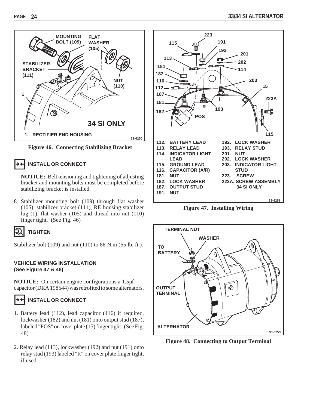

**Figure 46. Connecting Stabilizing Bracket**

## **INSTALL OR CONNECT**

**NOTICE:** Belt tensioning and tightening of adjusting bracket and mounting bolts must be completed before stabilizing bracket is installed.

8. Stabilizer mounting bolt (109) through flat washer (105), stabilizer bracket (111), RE housing stabilizer lug (1), flat washer (105) and thread into nut (110) finger tight. (See Fig. 46)



Stabilizer bolt (109) and nut (110) to 88 N.m (65 lb. ft.).

## **VEHICLE WIRING INSTALLATION (See Figure 47 & 48)**

**NOTICE:** On certain engine configurations a 1.5µf capacitor (DRA 198544) was retrofited to some alternators.

## **INSTALL OR CONNECT**

- 1. Battery lead (112), lead capacitor (116) if required, lockwasher (182) and nut (181) onto output stud (187), labeled "POS" on cover plate (15) finger tight. (See Fig. 48)
- 2. Relay lead (113), lockwasher (192) and nut (191) onto relay stud (193) labeled "R" on cover plate finger tight, if used.



**Figure 47. Installing Wiring**



**Figure 48. Connecting to Output Terminal**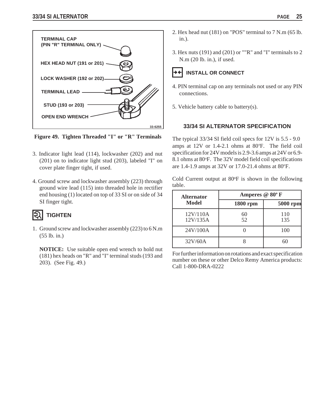

**Figure 49. Tighten Threaded "I" or "R" Terminals**

- 3. Indicator light lead (114), lockwasher (202) and nut (201) on to indicator light stud (203), labeled "I" on cover plate finger tight, if used.
- 4. Ground screw and lockwasher assembly (223) through ground wire lead (115) into threaded hole in rectifier end housing (1) located on top of 33 SI or on side of 34 SI finger tight.

## **TIGHTEN**

1. Ground screw and lockwasher assembly (223) to 6 N.m (55 lb. in.)

**NOTICE:** Use suitable open end wrench to hold nut (181) hex heads on "R" and "I" terminal studs (193 and 203). (See Fig. 49.)

- 2. Hex head nut (181) on "POS" terminal to 7 N.m (65 lb. in.).
- 3. Hex nuts (191) and (201) or ""R" and "I" terminals to 2 N.m (20 lb. in.), if used.

## **INSTALL OR CONNECT**

- 4. PIN terminal cap on any terminals not used or any PIN connections.
- 5. Vehicle battery cable to battery(s).

## **33/34 SI ALTERNATOR SPECIFICATION**

The typical 33/34 SI field coil specs for 12V is 5.5 - 9.0 amps at  $12V$  or  $1.4$ -2.1 ohms at  $80^{\circ}$ F. The field coil specification for 24V models is 2.9-3.6 amps at 24V or 6.9- 8.1 ohms at 80°F. The 32V model field coil specifications are 1.4-1.9 amps at 32V or 17.0-21.4 ohms at 80°F.

Cold Current output at 80°F is shown in the following table.

| <b>Alternator</b>    | Amperes @ 80°F |            |  |  |
|----------------------|----------------|------------|--|--|
| Model                | $1800$ rpm     | $5000$ rpm |  |  |
| 12V/110A<br>12V/135A | 60<br>52       | 110<br>135 |  |  |
| 24V/100A             |                | 100        |  |  |
| 32V/60A              |                |            |  |  |

For further information on rotations and exact specification number on these or other Delco Remy America products: Call 1-800-DRA-0222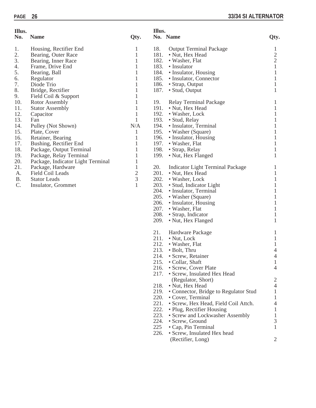(Rectifier, Long) 2

| Illus.    |                                   |                             | Illus. |                                       |                |  |
|-----------|-----------------------------------|-----------------------------|--------|---------------------------------------|----------------|--|
| No.       | <b>Name</b>                       | Qty.                        |        | No. Name                              | Qty.           |  |
| 1.        | Housing, Rectifier End            | 1                           | 18.    | <b>Output Terminal Package</b>        | 1              |  |
| 2.        | Bearing, Outer Race               | 1                           | 181.   | • Nut, Hex Head                       | $\sqrt{2}$     |  |
| 3.        | Bearing, Inner Race               | 1                           | 182.   | • Washer, Flat                        | $\mathbf{2}$   |  |
| 4.        | Frame, Drive End                  | $\mathbf{1}$                | 183.   | • Insulator                           | $\mathbf{1}$   |  |
| 5.        | Bearing, Ball                     | 1                           | 184.   | • Insulator, Housing                  | 1              |  |
| 6.        | Regulator                         | 1                           | 185.   | • Insulator, Connector                | $\mathbf{1}$   |  |
| 7.        | Diode Trio                        | 1                           | 186.   | • Strap, Output                       | $\mathbf{1}$   |  |
| 8.        | Bridge, Rectifier                 | 1                           | 187.   | • Stud, Output                        | $\mathbf{1}$   |  |
| 9.        | Field Coil & Support              | 1                           |        |                                       |                |  |
| 10.       | Rotor Assembly                    | $\mathbf{1}$                | 19.    | Relay Terminal Package                | $\mathbf 1$    |  |
| 11.       | <b>Stator Assembly</b>            | $\mathbf{1}$                | 191.   | • Nut, Hex Head                       | $\mathbf{1}$   |  |
| 12.       | Capacitor                         | $\mathbf{1}$                | 192.   | • Washer, Lock                        | $\mathbf{1}$   |  |
| 13.       | Fan                               | $\mathbf{1}$                | 193.   | • Stud, Relay                         | 1              |  |
| 14.       | Pulley (Not Shown)                | N/A                         | 194.   | • Insulator, Terminal                 | 1              |  |
| 15.       | Plate, Cover                      | 1                           | 195.   | • Washer (Square)                     | 1              |  |
| 16.       | Retainer, Bearing                 | $\mathbf{1}$                | 196.   | • Insulator, Housing                  | 1              |  |
| 17.       | Bushing, Rectifier End            | 1                           | 197.   | • Washer, Flat                        | 1              |  |
| 18.       | Package, Output Terminal          | 1                           | 198.   | • Strap, Relay                        | $\mathbf{1}$   |  |
| 19.       | Package, Relay Terminal           | 1                           | 199.   | • Nut, Hex Flanged                    | 1              |  |
| 20.       | Package, Indicator Light Terminal | 1                           |        |                                       |                |  |
| 21.       | Package, Hardware                 | $\mathbf{1}$                | 20.    | Indicator Light Terminal Package      | 1              |  |
| A.        | Field Coil Leads                  | $\overline{c}$              | 201.   | • Nut, Hex Head                       | $\mathbf{1}$   |  |
| <b>B.</b> | <b>Stator Leads</b>               | $\ensuremath{\mathfrak{Z}}$ | 202.   | • Washer, Lock                        | $\mathbf{1}$   |  |
| C.        | Insulator, Grommet                | 1                           | 203.   | • Stud, Indicator Light               | 1              |  |
|           |                                   |                             | 204.   | • Insulator, Terminal                 | 1              |  |
|           |                                   |                             | 205.   | • Washer (Square)                     | 1              |  |
|           |                                   |                             | 206.   | • Insulator, Housing                  | 1              |  |
|           |                                   |                             | 207.   | • Washer, Flat                        | $\mathbf{1}$   |  |
|           |                                   |                             | 208.   | • Strap, Indicator                    | 1              |  |
|           |                                   |                             | 209.   | • Nut, Hex Flanged                    | $\mathbf 1$    |  |
|           |                                   |                             | 21.    | Hardware Package                      | 1              |  |
|           |                                   |                             | 211.   | $\bullet$ Nut, Lock                   | $\mathbf{1}$   |  |
|           |                                   |                             | 212.   | • Washer, Flat                        | $\mathbf{1}$   |  |
|           |                                   |                             | 213.   | • Bolt, Thru                          | 4              |  |
|           |                                   |                             | 214.   | • Screw, Retainer                     | 4              |  |
|           |                                   |                             | 215.   | · Collar, Shaft                       | $\perp$        |  |
|           |                                   |                             | 216.   | • Screw, Cover Plate                  | $\overline{4}$ |  |
|           |                                   |                             | 217.   | • Screw, Insulated Hex Head           |                |  |
|           |                                   |                             |        | (Regulator, Short)                    | 2              |  |
|           |                                   |                             | 218.   | • Nut, Hex Head                       | 4              |  |
|           |                                   |                             | 219.   | • Connector, Bridge to Regulator Stud | 1              |  |
|           |                                   |                             | 220.   | • Cover, Terminal                     | 1              |  |
|           |                                   |                             | 221.   | · Screw, Hex Head, Field Coil Attch.  | 4              |  |
|           |                                   |                             | 222.   | • Plug, Rectifier Housing             | 1              |  |
|           |                                   |                             | 223.   | • Screw and Lockwasher Assembly       | $\mathbf{1}$   |  |
|           |                                   |                             | 224.   | • Screw, Ground                       | 3              |  |
|           |                                   |                             | 225    | • Cap, Pin Terminal                   | 1              |  |
|           |                                   |                             | 226.   | • Screw, Insulated Hex head           |                |  |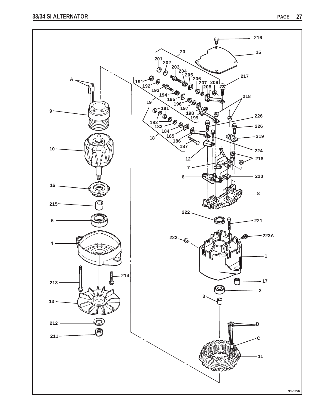